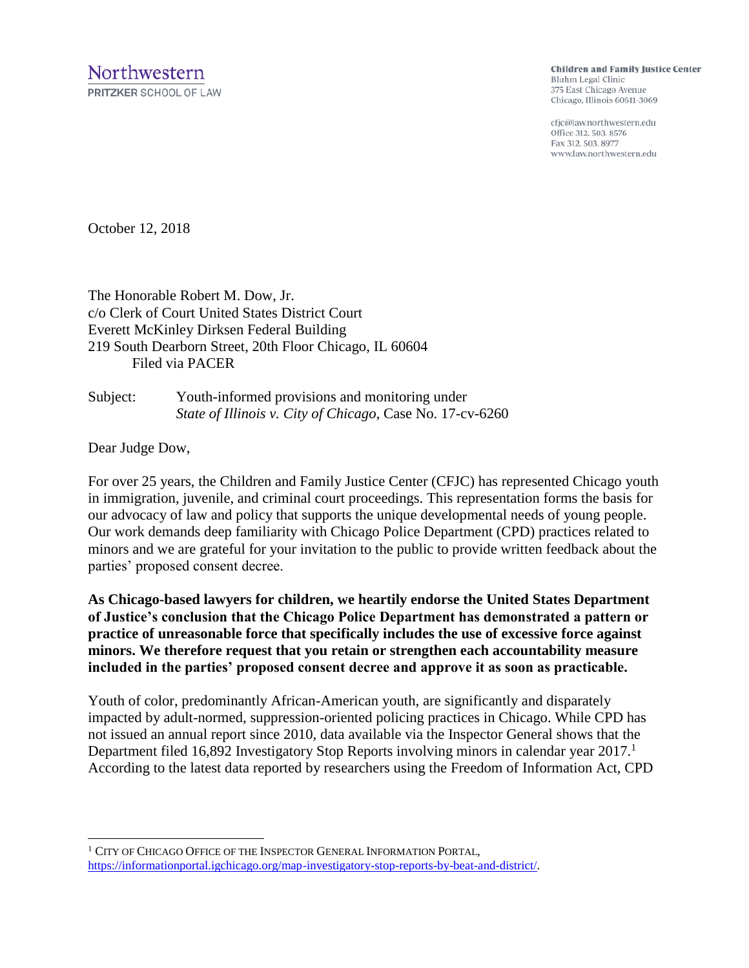**Children and Family Justice Center** Bluhm Legal Clinic 375 East Chicago Avenue Chicago, Illinois 60611-3069

cfjc@law.northwestern.edu Office 312. 503. 8576 Fax 312, 503, 8977 www.law.northwestern.edu

October 12, 2018

The Honorable Robert M. Dow, Jr. c/o Clerk of Court United States District Court Everett McKinley Dirksen Federal Building 219 South Dearborn Street, 20th Floor Chicago, IL 60604 Filed via PACER

Subject: Youth-informed provisions and monitoring under *State of Illinois v. City of Chicago*, Case No. 17-cv-6260

Dear Judge Dow,

For over 25 years, the Children and Family Justice Center (CFJC) has represented Chicago youth in immigration, juvenile, and criminal court proceedings. This representation forms the basis for our advocacy of law and policy that supports the unique developmental needs of young people. Our work demands deep familiarity with Chicago Police Department (CPD) practices related to minors and we are grateful for your invitation to the public to provide written feedback about the parties' proposed consent decree.

**As Chicago-based lawyers for children, we heartily endorse the United States Department of Justice's conclusion that the Chicago Police Department has demonstrated a pattern or practice of unreasonable force that specifically includes the use of excessive force against minors. We therefore request that you retain or strengthen each accountability measure included in the parties' proposed consent decree and approve it as soon as practicable.** 

Youth of color, predominantly African-American youth, are significantly and disparately impacted by adult-normed, suppression-oriented policing practices in Chicago. While CPD has not issued an annual report since 2010, data available via the Inspector General shows that the Department filed 16,892 Investigatory Stop Reports involving minors in calendar year 2017.<sup>1</sup> According to the latest data reported by researchers using the Freedom of Information Act, CPD

<sup>1</sup> CITY OF CHICAGO OFFICE OF THE INSPECTOR GENERAL INFORMATION PORTAL, [https://informationportal.igchicago.org/map-investigatory-stop-reports-by-beat-and-district/.](https://informationportal.igchicago.org/map-investigatory-stop-reports-by-beat-and-district/)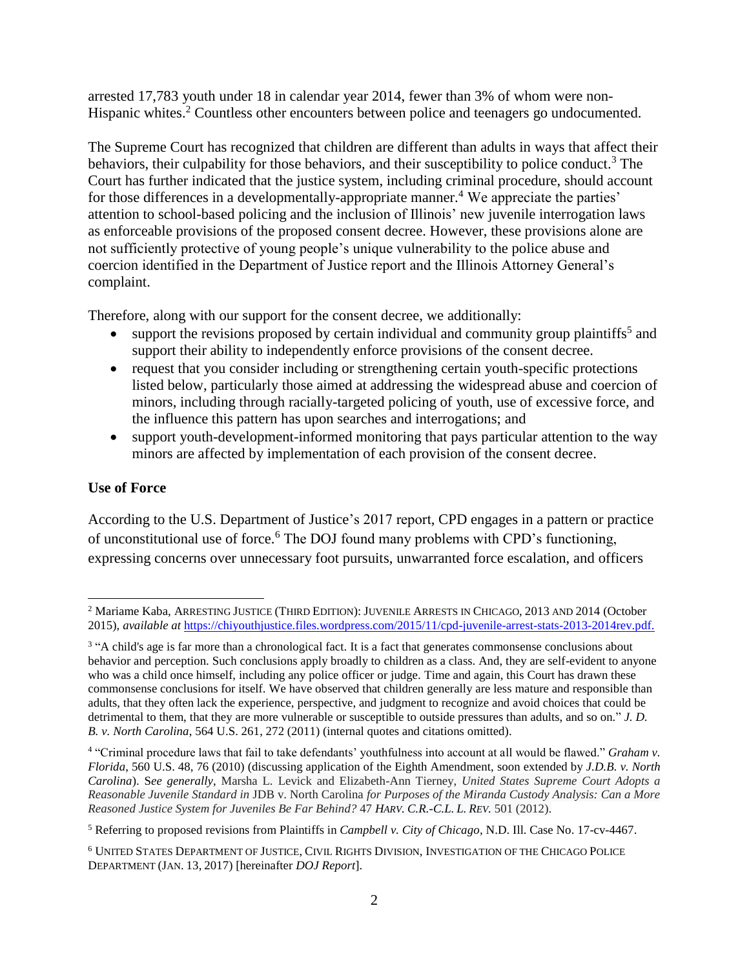arrested 17,783 youth under 18 in calendar year 2014, fewer than 3% of whom were non-Hispanic whites.<sup>2</sup> Countless other encounters between police and teenagers go undocumented.

The Supreme Court has recognized that children are different than adults in ways that affect their behaviors, their culpability for those behaviors, and their susceptibility to police conduct.<sup>3</sup> The Court has further indicated that the justice system, including criminal procedure, should account for those differences in a developmentally-appropriate manner.<sup>4</sup> We appreciate the parties' attention to school-based policing and the inclusion of Illinois' new juvenile interrogation laws as enforceable provisions of the proposed consent decree. However, these provisions alone are not sufficiently protective of young people's unique vulnerability to the police abuse and coercion identified in the Department of Justice report and the Illinois Attorney General's complaint.

Therefore, along with our support for the consent decree, we additionally:

- support the revisions proposed by certain individual and community group plaintiffs<sup>5</sup> and support their ability to independently enforce provisions of the consent decree.
- request that you consider including or strengthening certain youth-specific protections listed below, particularly those aimed at addressing the widespread abuse and coercion of minors, including through racially-targeted policing of youth, use of excessive force, and the influence this pattern has upon searches and interrogations; and
- support youth-development-informed monitoring that pays particular attention to the way minors are affected by implementation of each provision of the consent decree.

### **Use of Force**

According to the U.S. Department of Justice's 2017 report, CPD engages in a pattern or practice of unconstitutional use of force.<sup>6</sup> The DOJ found many problems with CPD's functioning, expressing concerns over unnecessary foot pursuits, unwarranted force escalation, and officers

 $\overline{a}$ <sup>2</sup> Mariame Kaba, ARRESTING JUSTICE (THIRD EDITION): JUVENILE ARRESTS IN CHICAGO, 2013 AND 2014 (October 2015), *available at* [https://chiyouthjustice.files.wordpress.com/2015/11/cpd-juvenile-arrest-stats-2013-2014rev.pdf.](https://chiyouthjustice.files.wordpress.com/2015/11/cpd-juvenile-arrest-stats-2013-2014rev.pdf)

<sup>&</sup>lt;sup>3</sup> "A child's age is far more than a chronological fact. It is a fact that generates commonsense conclusions about behavior and perception. Such conclusions apply broadly to children as a class. And, they are self-evident to anyone who was a child once himself, including any police officer or judge. Time and again, this Court has drawn these commonsense conclusions for itself. We have observed that children generally are less mature and responsible than adults, that they often lack the experience, perspective, and judgment to recognize and avoid choices that could be detrimental to them, that they are more vulnerable or susceptible to outside pressures than adults, and so on." *J. D. B. v. North Carolina*, 564 U.S. 261, 272 (2011) (internal quotes and citations omitted).

<sup>4</sup> "Criminal procedure laws that fail to take defendants' youthfulness into account at all would be flawed." *Graham v. Florida*, 560 U.S. 48, 76 (2010) (discussing application of the Eighth Amendment, soon extended by *J.D.B. v. North Carolina*). S*ee generally*, Marsha L. Levick and Elizabeth-Ann Tierney, *United States Supreme Court Adopts a Reasonable Juvenile Standard in* JDB v. North Carolina *for Purposes of the Miranda Custody Analysis: Can a More Reasoned Justice System for Juveniles Be Far Behind?* 47 *HARV. C.R.-C.L. L. REV.* 501 (2012).

<sup>5</sup> Referring to proposed revisions from Plaintiffs in *Campbell v. City of Chicago,* N.D. Ill. Case No. 17-cv-4467.

<sup>6</sup> UNITED STATES DEPARTMENT OF JUSTICE, CIVIL RIGHTS DIVISION, INVESTIGATION OF THE CHICAGO POLICE DEPARTMENT (JAN. 13, 2017) [hereinafter *DOJ Report*].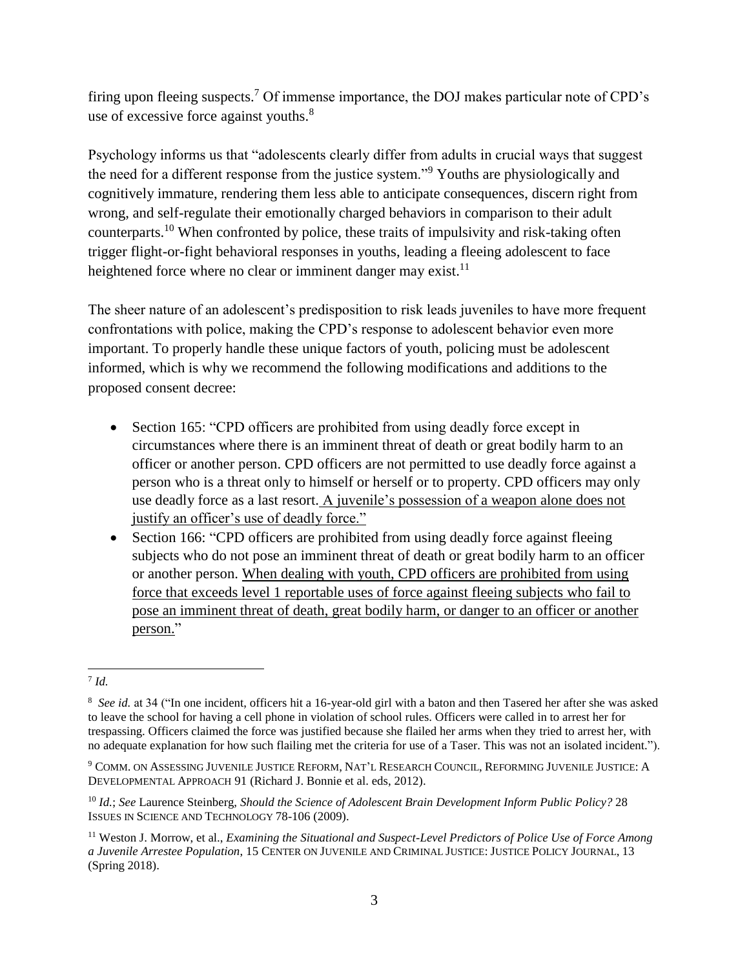firing upon fleeing suspects.<sup>7</sup> Of immense importance, the DOJ makes particular note of CPD's use of excessive force against youths.<sup>8</sup>

Psychology informs us that "adolescents clearly differ from adults in crucial ways that suggest the need for a different response from the justice system."<sup>9</sup> Youths are physiologically and cognitively immature, rendering them less able to anticipate consequences, discern right from wrong, and self-regulate their emotionally charged behaviors in comparison to their adult counterparts.<sup>10</sup> When confronted by police, these traits of impulsivity and risk-taking often trigger flight-or-fight behavioral responses in youths, leading a fleeing adolescent to face heightened force where no clear or imminent danger may exist.<sup>11</sup>

The sheer nature of an adolescent's predisposition to risk leads juveniles to have more frequent confrontations with police, making the CPD's response to adolescent behavior even more important. To properly handle these unique factors of youth, policing must be adolescent informed, which is why we recommend the following modifications and additions to the proposed consent decree:

- Section 165: "CPD officers are prohibited from using deadly force except in circumstances where there is an imminent threat of death or great bodily harm to an officer or another person. CPD officers are not permitted to use deadly force against a person who is a threat only to himself or herself or to property. CPD officers may only use deadly force as a last resort. A juvenile's possession of a weapon alone does not justify an officer's use of deadly force."
- Section 166: "CPD officers are prohibited from using deadly force against fleeing subjects who do not pose an imminent threat of death or great bodily harm to an officer or another person. When dealing with youth, CPD officers are prohibited from using force that exceeds level 1 reportable uses of force against fleeing subjects who fail to pose an imminent threat of death, great bodily harm, or danger to an officer or another person."

 7 *Id.*

<sup>&</sup>lt;sup>8</sup> See id. at 34 ("In one incident, officers hit a 16-year-old girl with a baton and then Tasered her after she was asked to leave the school for having a cell phone in violation of school rules. Officers were called in to arrest her for trespassing. Officers claimed the force was justified because she flailed her arms when they tried to arrest her, with no adequate explanation for how such flailing met the criteria for use of a Taser. This was not an isolated incident.").

<sup>9</sup> COMM. ON ASSESSING JUVENILE JUSTICE REFORM, NAT'L RESEARCH COUNCIL, REFORMING JUVENILE JUSTICE: A DEVELOPMENTAL APPROACH 91 (Richard J. Bonnie et al. eds, 2012).

<sup>10</sup> *Id.*; *See* Laurence Steinberg, *Should the Science of Adolescent Brain Development Inform Public Policy?* 28 ISSUES IN SCIENCE AND TECHNOLOGY 78-106 (2009).

<sup>11</sup> Weston J. Morrow, et al., *Examining the Situational and Suspect-Level Predictors of Police Use of Force Among a Juvenile Arrestee Population*, 15 CENTER ON JUVENILE AND CRIMINAL JUSTICE: JUSTICE POLICY JOURNAL, 13 (Spring 2018).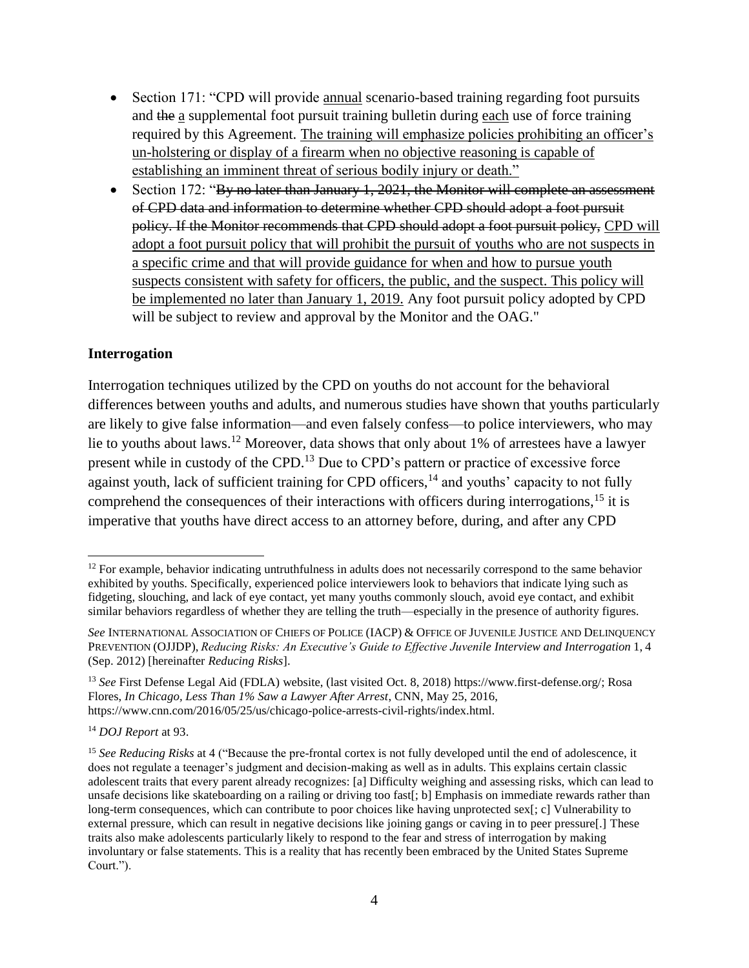- Section 171: "CPD will provide annual scenario-based training regarding foot pursuits and the a supplemental foot pursuit training bulletin during each use of force training required by this Agreement. The training will emphasize policies prohibiting an officer's un-holstering or display of a firearm when no objective reasoning is capable of establishing an imminent threat of serious bodily injury or death."
- Section 172: "By no later than January 1, 2021, the Monitor will complete an assessment of CPD data and information to determine whether CPD should adopt a foot pursuit policy. If the Monitor recommends that CPD should adopt a foot pursuit policy, CPD will adopt a foot pursuit policy that will prohibit the pursuit of youths who are not suspects in a specific crime and that will provide guidance for when and how to pursue youth suspects consistent with safety for officers, the public, and the suspect. This policy will be implemented no later than January 1, 2019. Any foot pursuit policy adopted by CPD will be subject to review and approval by the Monitor and the OAG."

#### **Interrogation**

Interrogation techniques utilized by the CPD on youths do not account for the behavioral differences between youths and adults, and numerous studies have shown that youths particularly are likely to give false information—and even falsely confess—to police interviewers, who may lie to youths about laws.<sup>12</sup> Moreover, data shows that only about 1% of arrestees have a lawyer present while in custody of the CPD.<sup>13</sup> Due to CPD's pattern or practice of excessive force against youth, lack of sufficient training for CPD officers,<sup>14</sup> and youths' capacity to not fully comprehend the consequences of their interactions with officers during interrogations,<sup>15</sup> it is imperative that youths have direct access to an attorney before, during, and after any CPD

  $12$  For example, behavior indicating untruthfulness in adults does not necessarily correspond to the same behavior exhibited by youths. Specifically, experienced police interviewers look to behaviors that indicate lying such as fidgeting, slouching, and lack of eye contact, yet many youths commonly slouch, avoid eye contact, and exhibit similar behaviors regardless of whether they are telling the truth—especially in the presence of authority figures.

*See* INTERNATIONAL ASSOCIATION OF CHIEFS OF POLICE (IACP) & OFFICE OF JUVENILE JUSTICE AND DELINQUENCY PREVENTION (OJJDP), *Reducing Risks: An Executive's Guide to Effective Juvenile Interview and Interrogation* 1, 4 (Sep. 2012) [hereinafter *Reducing Risks*].

<sup>&</sup>lt;sup>13</sup> See First Defense Legal Aid (FDLA) website, (last visited Oct. 8, 2018) https://www.first-defense.org/; Rosa Flores, *In Chicago, Less Than 1% Saw a Lawyer After Arrest*, CNN, May 25, 2016, https://www.cnn.com/2016/05/25/us/chicago-police-arrests-civil-rights/index.html.

<sup>14</sup> *DOJ Report* at 93.

<sup>&</sup>lt;sup>15</sup> See Reducing Risks at 4 ("Because the pre-frontal cortex is not fully developed until the end of adolescence, it does not regulate a teenager's judgment and decision-making as well as in adults. This explains certain classic adolescent traits that every parent already recognizes: [a] Difficulty weighing and assessing risks, which can lead to unsafe decisions like skateboarding on a railing or driving too fast[; b] Emphasis on immediate rewards rather than long-term consequences, which can contribute to poor choices like having unprotected sex[; c] Vulnerability to external pressure, which can result in negative decisions like joining gangs or caving in to peer pressure[.] These traits also make adolescents particularly likely to respond to the fear and stress of interrogation by making involuntary or false statements. This is a reality that has recently been embraced by the United States Supreme Court.").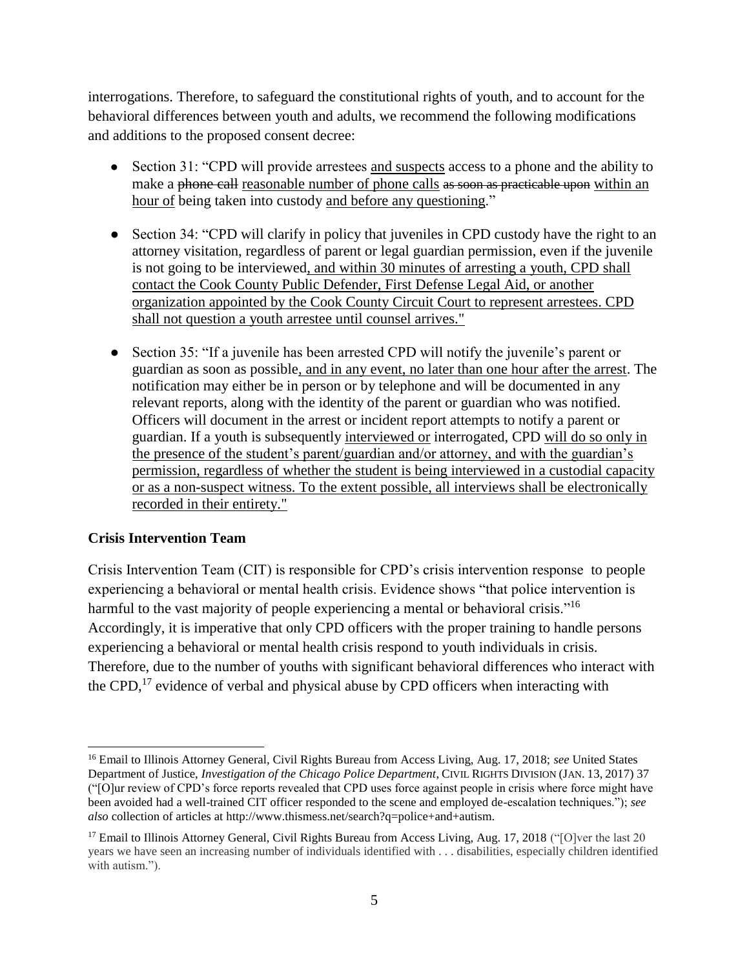interrogations. Therefore, to safeguard the constitutional rights of youth, and to account for the behavioral differences between youth and adults, we recommend the following modifications and additions to the proposed consent decree:

- Section 31: "CPD will provide arrestees and suspects access to a phone and the ability to make a phone call reasonable number of phone calls as soon as practicable upon within an hour of being taken into custody and before any questioning."
- Section 34: "CPD will clarify in policy that juveniles in CPD custody have the right to an attorney visitation, regardless of parent or legal guardian permission, even if the juvenile is not going to be interviewed, and within 30 minutes of arresting a youth, CPD shall contact the Cook County Public Defender, First Defense Legal Aid, or another organization appointed by the Cook County Circuit Court to represent arrestees. CPD shall not question a youth arrestee until counsel arrives."
- Section 35: "If a juvenile has been arrested CPD will notify the juvenile's parent or guardian as soon as possible, and in any event, no later than one hour after the arrest. The notification may either be in person or by telephone and will be documented in any relevant reports, along with the identity of the parent or guardian who was notified. Officers will document in the arrest or incident report attempts to notify a parent or guardian. If a youth is subsequently interviewed or interrogated, CPD will do so only in the presence of the student's parent/guardian and/or attorney, and with the guardian's permission, regardless of whether the student is being interviewed in a custodial capacity or as a non-suspect witness. To the extent possible, all interviews shall be electronically recorded in their entirety."

### **Crisis Intervention Team**

Crisis Intervention Team (CIT) is responsible for CPD's crisis intervention response to people experiencing a behavioral or mental health crisis. Evidence shows "that police intervention is harmful to the vast majority of people experiencing a mental or behavioral crisis."<sup>16</sup> Accordingly, it is imperative that only CPD officers with the proper training to handle persons experiencing a behavioral or mental health crisis respond to youth individuals in crisis. Therefore, due to the number of youths with significant behavioral differences who interact with the CPD,<sup>17</sup> evidence of verbal and physical abuse by CPD officers when interacting with

 <sup>16</sup> Email to Illinois Attorney General, Civil Rights Bureau from Access Living, Aug. 17, 2018; *see* United States Department of Justice, *Investigation of the Chicago Police Department*, CIVIL RIGHTS DIVISION (JAN. 13, 2017) 37 ("[O]ur review of CPD's force reports revealed that CPD uses force against people in crisis where force might have been avoided had a well-trained CIT officer responded to the scene and employed de-escalation techniques."); *see also* collection of articles at http://www.thismess.net/search?q=police+and+autism.

<sup>&</sup>lt;sup>17</sup> Email to Illinois Attorney General, Civil Rights Bureau from Access Living, Aug. 17, 2018 ("[O]ver the last 20 years we have seen an increasing number of individuals identified with . . . disabilities, especially children identified with autism.").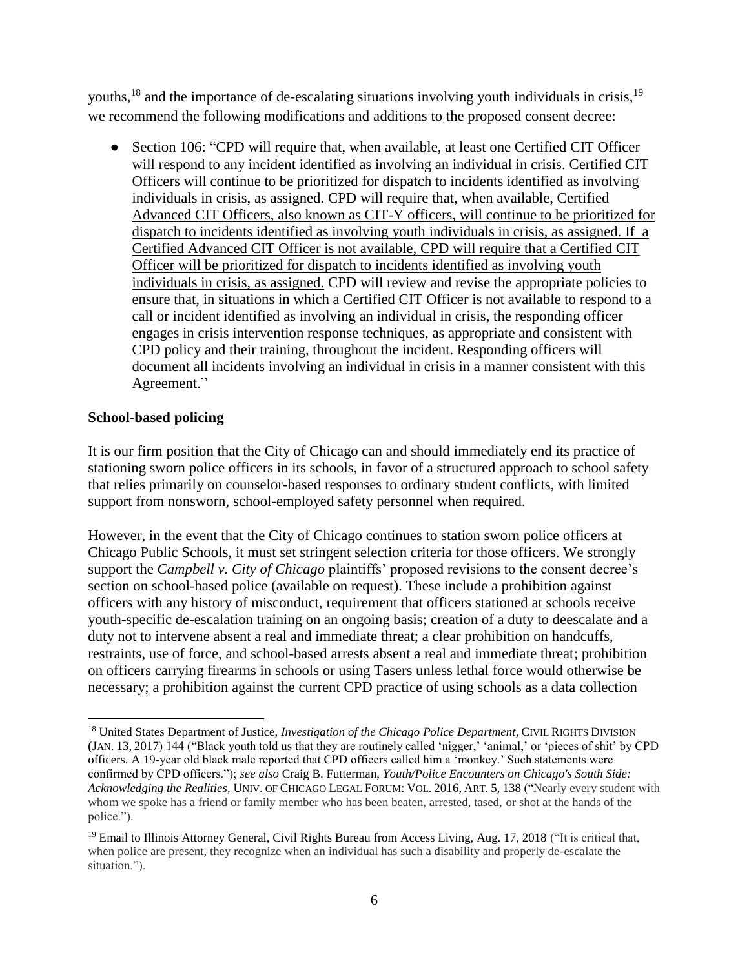youths,<sup>18</sup> and the importance of de-escalating situations involving youth individuals in crisis,<sup>19</sup> we recommend the following modifications and additions to the proposed consent decree:

• Section 106: "CPD will require that, when available, at least one Certified CIT Officer will respond to any incident identified as involving an individual in crisis. Certified CIT Officers will continue to be prioritized for dispatch to incidents identified as involving individuals in crisis, as assigned. CPD will require that, when available, Certified Advanced CIT Officers, also known as CIT-Y officers, will continue to be prioritized for dispatch to incidents identified as involving youth individuals in crisis, as assigned. If a Certified Advanced CIT Officer is not available, CPD will require that a Certified CIT Officer will be prioritized for dispatch to incidents identified as involving youth individuals in crisis, as assigned. CPD will review and revise the appropriate policies to ensure that, in situations in which a Certified CIT Officer is not available to respond to a call or incident identified as involving an individual in crisis, the responding officer engages in crisis intervention response techniques, as appropriate and consistent with CPD policy and their training, throughout the incident. Responding officers will document all incidents involving an individual in crisis in a manner consistent with this Agreement."

### **School-based policing**

It is our firm position that the City of Chicago can and should immediately end its practice of stationing sworn police officers in its schools, in favor of a structured approach to school safety that relies primarily on counselor-based responses to ordinary student conflicts, with limited support from nonsworn, school-employed safety personnel when required.

However, in the event that the City of Chicago continues to station sworn police officers at Chicago Public Schools, it must set stringent selection criteria for those officers. We strongly support the *Campbell v. City of Chicago* plaintiffs' proposed revisions to the consent decree's section on school-based police (available on request). These include a prohibition against officers with any history of misconduct, requirement that officers stationed at schools receive youth-specific de-escalation training on an ongoing basis; creation of a duty to deescalate and a duty not to intervene absent a real and immediate threat; a clear prohibition on handcuffs, restraints, use of force, and school-based arrests absent a real and immediate threat; prohibition on officers carrying firearms in schools or using Tasers unless lethal force would otherwise be necessary; a prohibition against the current CPD practice of using schools as a data collection

<sup>18</sup> United States Department of Justice, *Investigation of the Chicago Police Department*, CIVIL RIGHTS DIVISION (JAN. 13, 2017) 144 ("Black youth told us that they are routinely called 'nigger,' 'animal,' or 'pieces of shit' by CPD officers. A 19-year old black male reported that CPD officers called him a 'monkey.' Such statements were confirmed by CPD officers."); *see also* Craig B. Futterman, *Youth/Police Encounters on Chicago's South Side: Acknowledging the Realities*, UNIV. OF CHICAGO LEGAL FORUM: VOL. 2016, ART. 5, 138 ("Nearly every student with whom we spoke has a friend or family member who has been beaten, arrested, tased, or shot at the hands of the police.").

<sup>&</sup>lt;sup>19</sup> Email to Illinois Attorney General, Civil Rights Bureau from Access Living, Aug. 17, 2018 ("It is critical that, when police are present, they recognize when an individual has such a disability and properly de-escalate the situation.").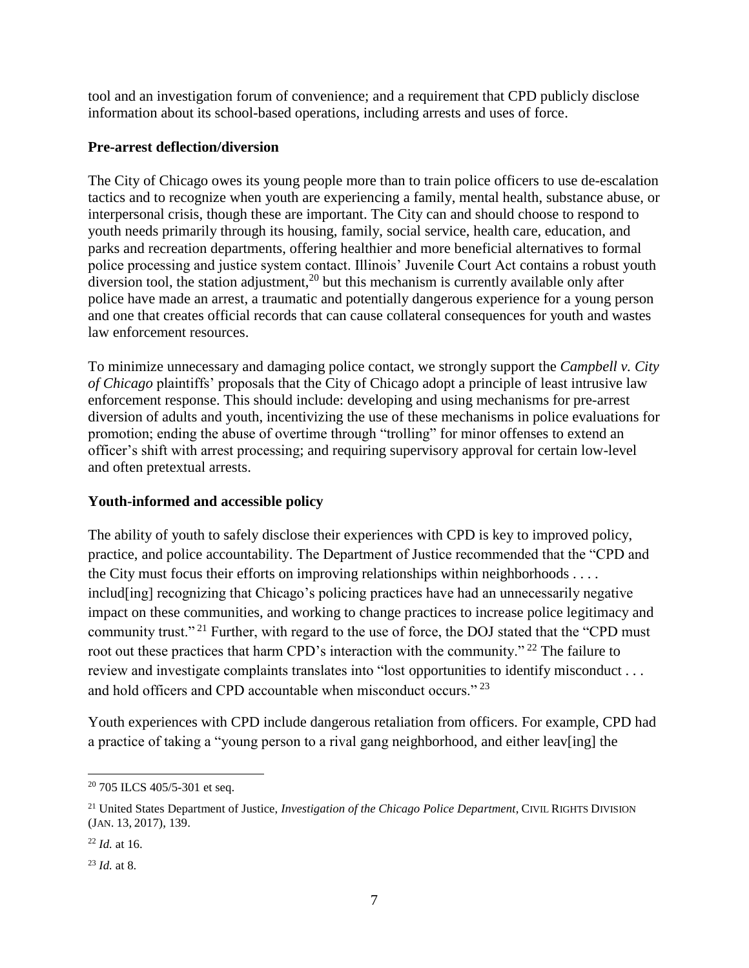tool and an investigation forum of convenience; and a requirement that CPD publicly disclose information about its school-based operations, including arrests and uses of force.

## **Pre-arrest deflection/diversion**

The City of Chicago owes its young people more than to train police officers to use de-escalation tactics and to recognize when youth are experiencing a family, mental health, substance abuse, or interpersonal crisis, though these are important. The City can and should choose to respond to youth needs primarily through its housing, family, social service, health care, education, and parks and recreation departments, offering healthier and more beneficial alternatives to formal police processing and justice system contact. Illinois' Juvenile Court Act contains a robust youth diversion tool, the station adjustment,<sup>20</sup> but this mechanism is currently available only after police have made an arrest, a traumatic and potentially dangerous experience for a young person and one that creates official records that can cause collateral consequences for youth and wastes law enforcement resources.

To minimize unnecessary and damaging police contact, we strongly support the *Campbell v. City of Chicago* plaintiffs' proposals that the City of Chicago adopt a principle of least intrusive law enforcement response. This should include: developing and using mechanisms for pre-arrest diversion of adults and youth, incentivizing the use of these mechanisms in police evaluations for promotion; ending the abuse of overtime through "trolling" for minor offenses to extend an officer's shift with arrest processing; and requiring supervisory approval for certain low-level and often pretextual arrests.

# **Youth-informed and accessible policy**

The ability of youth to safely disclose their experiences with CPD is key to improved policy, practice, and police accountability. The Department of Justice recommended that the "CPD and the City must focus their efforts on improving relationships within neighborhoods . . . . includ[ing] recognizing that Chicago's policing practices have had an unnecessarily negative impact on these communities, and working to change practices to increase police legitimacy and community trust." <sup>21</sup> Further, with regard to the use of force, the DOJ stated that the "CPD must root out these practices that harm CPD's interaction with the community." <sup>22</sup> The failure to review and investigate complaints translates into "lost opportunities to identify misconduct . . . and hold officers and CPD accountable when misconduct occurs." <sup>23</sup>

Youth experiences with CPD include dangerous retaliation from officers. For example, CPD had a practice of taking a "young person to a rival gang neighborhood, and either leav[ing] the

 <sup>20</sup> 705 ILCS 405/5-301 et seq.

<sup>21</sup> United States Department of Justice, *Investigation of the Chicago Police Department*, CIVIL RIGHTS DIVISION (JAN. 13, 2017), 139.

<sup>22</sup> *Id.* at 16.

<sup>23</sup> *Id.* at 8.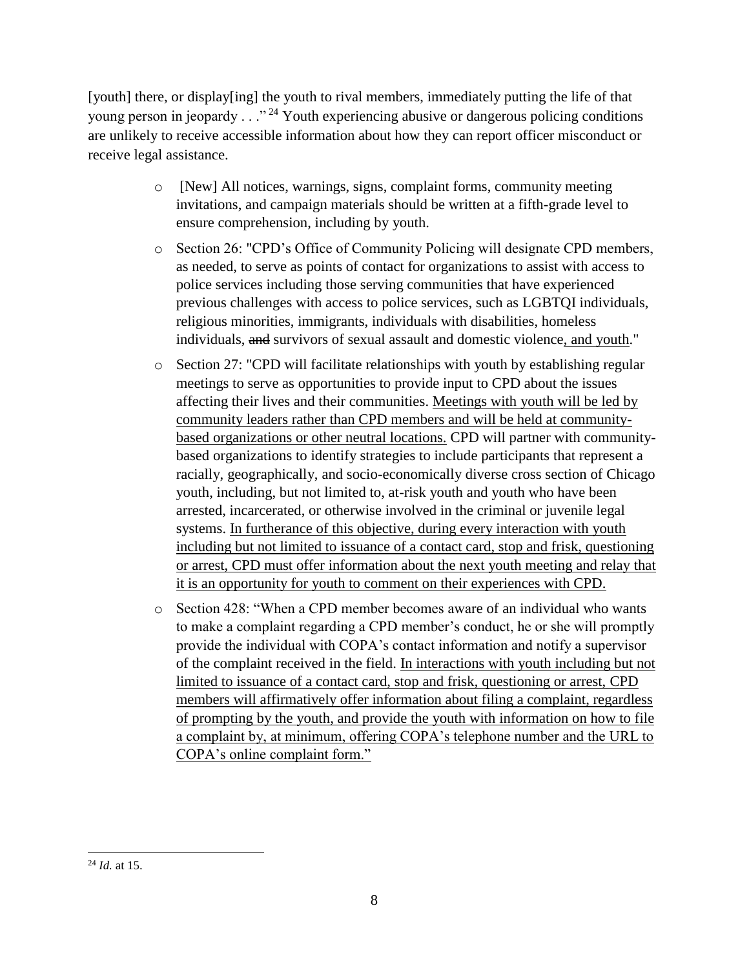[youth] there, or display[ing] the youth to rival members, immediately putting the life of that young person in jeopardy . . ."<sup>24</sup> Youth experiencing abusive or dangerous policing conditions are unlikely to receive accessible information about how they can report officer misconduct or receive legal assistance.

- o [New] All notices, warnings, signs, complaint forms, community meeting invitations, and campaign materials should be written at a fifth-grade level to ensure comprehension, including by youth.
- o Section 26: "CPD's Office of Community Policing will designate CPD members, as needed, to serve as points of contact for organizations to assist with access to police services including those serving communities that have experienced previous challenges with access to police services, such as LGBTQI individuals, religious minorities, immigrants, individuals with disabilities, homeless individuals, and survivors of sexual assault and domestic violence, and youth."
- $\circ$  Section 27: "CPD will facilitate relationships with youth by establishing regular meetings to serve as opportunities to provide input to CPD about the issues affecting their lives and their communities. Meetings with youth will be led by community leaders rather than CPD members and will be held at communitybased organizations or other neutral locations. CPD will partner with communitybased organizations to identify strategies to include participants that represent a racially, geographically, and socio-economically diverse cross section of Chicago youth, including, but not limited to, at-risk youth and youth who have been arrested, incarcerated, or otherwise involved in the criminal or juvenile legal systems. In furtherance of this objective, during every interaction with youth including but not limited to issuance of a contact card, stop and frisk, questioning or arrest, CPD must offer information about the next youth meeting and relay that it is an opportunity for youth to comment on their experiences with CPD.
- o Section 428: "When a CPD member becomes aware of an individual who wants to make a complaint regarding a CPD member's conduct, he or she will promptly provide the individual with COPA's contact information and notify a supervisor of the complaint received in the field. In interactions with youth including but not limited to issuance of a contact card, stop and frisk, questioning or arrest, CPD members will affirmatively offer information about filing a complaint, regardless of prompting by the youth, and provide the youth with information on how to file a complaint by, at minimum, offering COPA's telephone number and the URL to COPA's online complaint form."

 <sup>24</sup> *Id.* at 15.